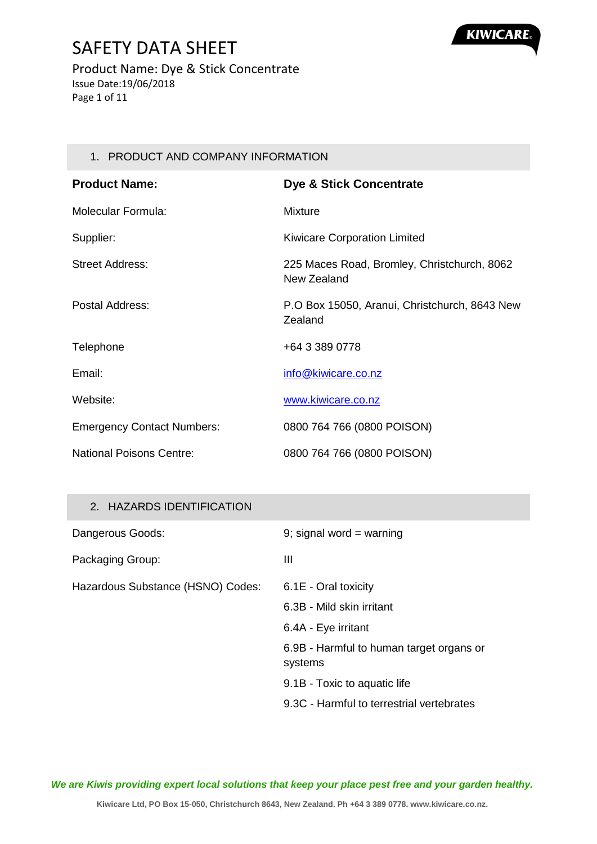

SAFETY DATA SHEET Product Name: Dye & Stick Concentrate Issue Date:19/06/2018 Page 1 of 11

#### 1. PRODUCT AND COMPANY INFORMATION

| <b>Product Name:</b>              | Dye & Stick Concentrate                                    |
|-----------------------------------|------------------------------------------------------------|
| <b>Molecular Formula:</b>         | <b>Mixture</b>                                             |
| Supplier:                         | Kiwicare Corporation Limited                               |
| <b>Street Address:</b>            | 225 Maces Road, Bromley, Christchurch, 8062<br>New Zealand |
| Postal Address:                   | P.O Box 15050, Aranui, Christchurch, 8643 New<br>Zealand   |
| Telephone                         | +64 3 389 0778                                             |
| Email:                            | info@kiwicare.co.nz                                        |
| Website:                          | www.kiwicare.co.nz                                         |
| <b>Emergency Contact Numbers:</b> | 0800 764 766 (0800 POISON)                                 |
| <b>National Poisons Centre:</b>   | 0800 764 766 (0800 POISON)                                 |

#### 2. HAZARDS IDENTIFICATION

| Dangerous Goods:                  | 9; signal word = warning                            |
|-----------------------------------|-----------------------------------------------------|
| Packaging Group:                  | Ш                                                   |
| Hazardous Substance (HSNO) Codes: | 6.1E - Oral toxicity                                |
|                                   | 6.3B - Mild skin irritant                           |
|                                   | 6.4A - Eye irritant                                 |
|                                   | 6.9B - Harmful to human target organs or<br>systems |
|                                   | 9.1B - Toxic to aquatic life                        |
|                                   | 9.3C - Harmful to terrestrial vertebrates           |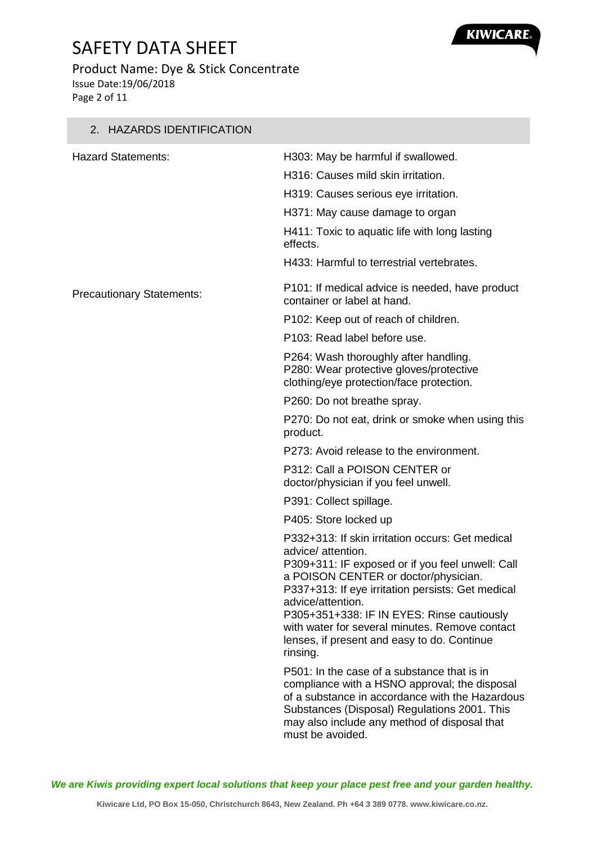

## Product Name: Dye & Stick Concentrate Issue Date:19/06/2018

Page 2 of 11

| 2. HAZARDS IDENTIFICATION        |                                                                                                                                                                                                                                                                                                                                                                                                         |
|----------------------------------|---------------------------------------------------------------------------------------------------------------------------------------------------------------------------------------------------------------------------------------------------------------------------------------------------------------------------------------------------------------------------------------------------------|
| <b>Hazard Statements:</b>        | H303: May be harmful if swallowed.                                                                                                                                                                                                                                                                                                                                                                      |
|                                  | H316: Causes mild skin irritation.                                                                                                                                                                                                                                                                                                                                                                      |
|                                  | H319: Causes serious eye irritation.                                                                                                                                                                                                                                                                                                                                                                    |
|                                  | H371: May cause damage to organ                                                                                                                                                                                                                                                                                                                                                                         |
|                                  | H411: Toxic to aquatic life with long lasting<br>effects.                                                                                                                                                                                                                                                                                                                                               |
|                                  | H433: Harmful to terrestrial vertebrates.                                                                                                                                                                                                                                                                                                                                                               |
| <b>Precautionary Statements:</b> | P101: If medical advice is needed, have product<br>container or label at hand.                                                                                                                                                                                                                                                                                                                          |
|                                  | P102: Keep out of reach of children.                                                                                                                                                                                                                                                                                                                                                                    |
|                                  | P103: Read label before use.                                                                                                                                                                                                                                                                                                                                                                            |
|                                  | P264: Wash thoroughly after handling.<br>P280: Wear protective gloves/protective<br>clothing/eye protection/face protection.                                                                                                                                                                                                                                                                            |
|                                  | P260: Do not breathe spray.                                                                                                                                                                                                                                                                                                                                                                             |
|                                  | P270: Do not eat, drink or smoke when using this<br>product.                                                                                                                                                                                                                                                                                                                                            |
|                                  | P273: Avoid release to the environment.                                                                                                                                                                                                                                                                                                                                                                 |
|                                  | P312: Call a POISON CENTER or<br>doctor/physician if you feel unwell.                                                                                                                                                                                                                                                                                                                                   |
|                                  | P391: Collect spillage.                                                                                                                                                                                                                                                                                                                                                                                 |
|                                  | P405: Store locked up                                                                                                                                                                                                                                                                                                                                                                                   |
|                                  | P332+313: If skin irritation occurs: Get medical<br>advice/ attention.<br>P309+311: IF exposed or if you feel unwell: Call<br>a POISON CENTER or doctor/physician.<br>P337+313: If eye irritation persists: Get medical<br>advice/attention.<br>P305+351+338: IF IN EYES: Rinse cautiously<br>with water for several minutes. Remove contact<br>lenses, if present and easy to do. Continue<br>rinsing. |
|                                  | P501: In the case of a substance that is in<br>compliance with a HSNO approval; the disposal<br>of a substance in accordance with the Hazardous<br>Substances (Disposal) Regulations 2001. This<br>may also include any method of disposal that<br>must be avoided.                                                                                                                                     |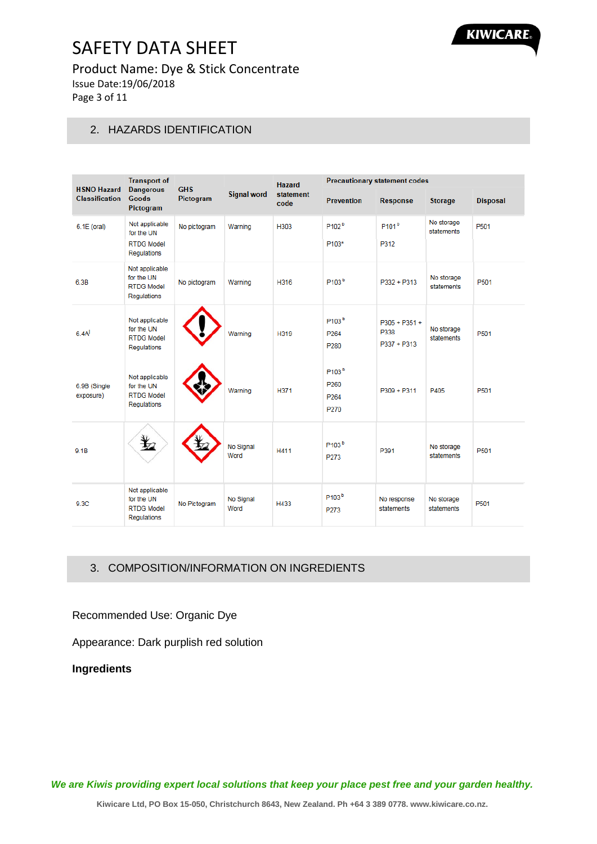

Product Name: Dye & Stick Concentrate

Issue Date:19/06/2018

Page 3 of 11

### 2. HAZARDS IDENTIFICATION

| <b>HSNO Hazard</b>        | <b>Transport of</b>                                              | <b>GHS</b>   |                    | <b>Hazard</b><br>statement<br>code | <b>Precautionary statement codes</b>                  |                                          |                          |                 |
|---------------------------|------------------------------------------------------------------|--------------|--------------------|------------------------------------|-------------------------------------------------------|------------------------------------------|--------------------------|-----------------|
| <b>Classification</b>     | <b>Dangerous</b><br><b>Goods</b><br>Pictogram                    | Pictogram    | <b>Signal word</b> |                                    | <b>Prevention</b>                                     | <b>Response</b>                          | <b>Storage</b>           | <b>Disposal</b> |
| 6.1E (oral)               | Not applicable<br>for the UN                                     | No pictogram | Warning            | H303                               | P <sub>102</sub> <sup>b</sup>                         | P <sub>101</sub> <sup>b</sup>            | No storage<br>statements | P501            |
|                           | <b>RTDG Model</b><br><b>Requlations</b>                          |              |                    |                                    | P103*                                                 | P312                                     |                          |                 |
| 6.3B                      | Not applicable<br>for the UN<br><b>RTDG Model</b><br>Regulations | No pictogram | Warning            | H316                               | P103 <sup>b</sup>                                     | P332 + P313                              | No storage<br>statements | P501            |
| 6.4A                      | Not applicable<br>for the UN<br><b>RTDG Model</b><br>Regulations |              | Warning            | H319                               | P <sub>103</sub> <sup>b</sup><br>P264<br>P280         | $P305 + P351 +$<br>P338<br>$P337 + P313$ | No storage<br>statements | P501            |
| 6.9B (Single<br>exposure) | Not applicable<br>for the UN<br><b>RTDG Model</b><br>Regulations |              | Warning            | H371                               | P103 <sup>b</sup><br>P260<br>P <sub>264</sub><br>P270 | $P309 + P311$                            | P405                     | P501            |
| 9.1B                      | $\mathbf{\mathbf{\mathbf{\mathbf{\mathbf{\mathbf{+}}}}}}$        |              | No Signal<br>Word  | H411                               | P <sub>103</sub> <sup>b</sup><br>P273                 | P391                                     | No storage<br>statements | P501            |
| 9.3C                      | Not applicable<br>for the UN<br><b>RTDG Model</b><br>Regulations | No Pictogram | No Signal<br>Word  | H433                               | P <sub>103</sub> <sup>b</sup><br>P273                 | No response<br>statements                | No storage<br>statements | P501            |

## 3. COMPOSITION/INFORMATION ON INGREDIENTS

Recommended Use: Organic Dye

Appearance: Dark purplish red solution

**Ingredients**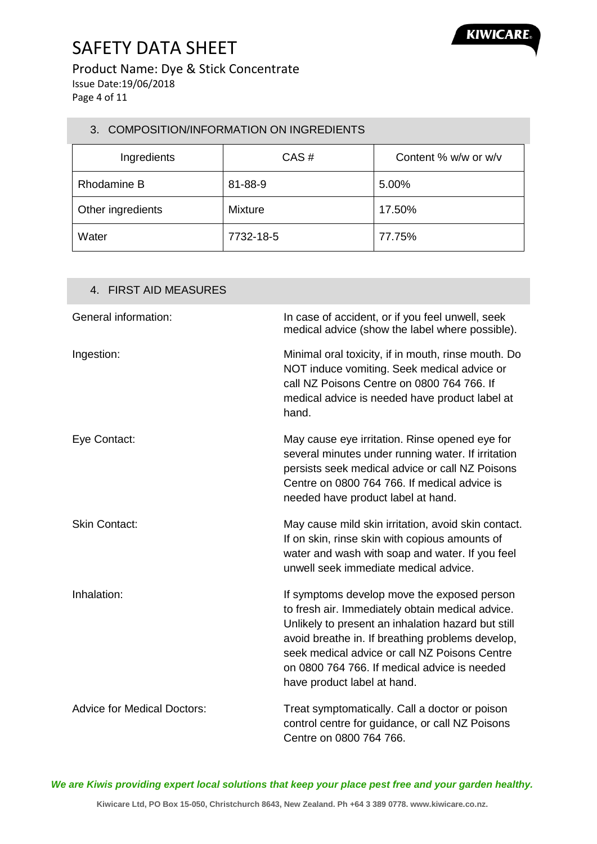

### 3. COMPOSITION/INFORMATION ON INGREDIENTS

| Ingredients       | CAS#           | Content % w/w or w/v |
|-------------------|----------------|----------------------|
| Rhodamine B       | 81-88-9        | 5.00%                |
| Other ingredients | <b>Mixture</b> | 17.50%               |
| Water             | 7732-18-5      | 77.75%               |

| 4. FIRST AID MEASURES              |                                                                                                                                                                                                                                                                                                                                           |
|------------------------------------|-------------------------------------------------------------------------------------------------------------------------------------------------------------------------------------------------------------------------------------------------------------------------------------------------------------------------------------------|
| <b>General information:</b>        | In case of accident, or if you feel unwell, seek<br>medical advice (show the label where possible).                                                                                                                                                                                                                                       |
| Ingestion:                         | Minimal oral toxicity, if in mouth, rinse mouth. Do<br>NOT induce vomiting. Seek medical advice or<br>call NZ Poisons Centre on 0800 764 766. If<br>medical advice is needed have product label at<br>hand.                                                                                                                               |
| Eye Contact:                       | May cause eye irritation. Rinse opened eye for<br>several minutes under running water. If irritation<br>persists seek medical advice or call NZ Poisons<br>Centre on 0800 764 766. If medical advice is<br>needed have product label at hand.                                                                                             |
| <b>Skin Contact:</b>               | May cause mild skin irritation, avoid skin contact.<br>If on skin, rinse skin with copious amounts of<br>water and wash with soap and water. If you feel<br>unwell seek immediate medical advice.                                                                                                                                         |
| Inhalation:                        | If symptoms develop move the exposed person<br>to fresh air. Immediately obtain medical advice.<br>Unlikely to present an inhalation hazard but still<br>avoid breathe in. If breathing problems develop,<br>seek medical advice or call NZ Poisons Centre<br>on 0800 764 766. If medical advice is needed<br>have product label at hand. |
| <b>Advice for Medical Doctors:</b> | Treat symptomatically. Call a doctor or poison<br>control centre for guidance, or call NZ Poisons<br>Centre on 0800 764 766.                                                                                                                                                                                                              |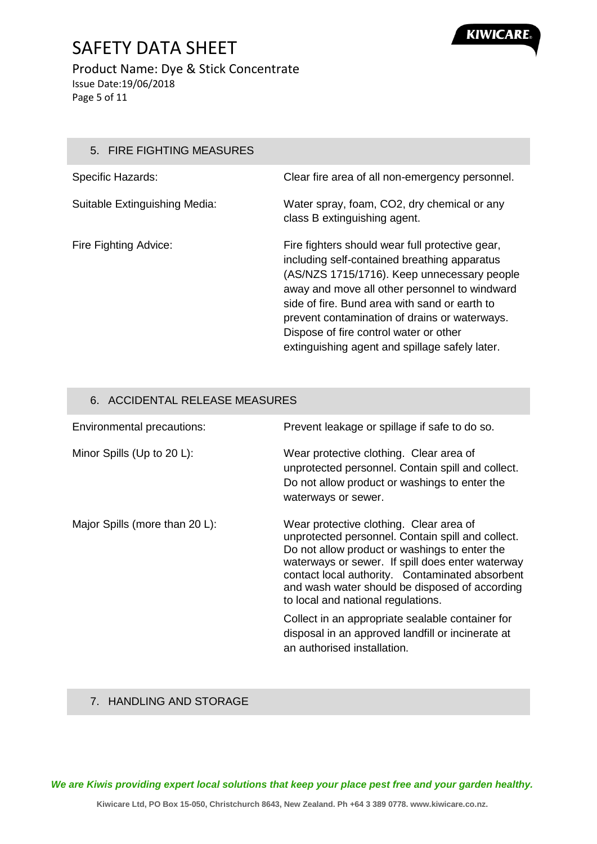

## SAFETY DATA SHEET Product Name: Dye & Stick Concentrate Issue Date:19/06/2018 Page 5 of 11

## 5. FIRE FIGHTING MEASURES

| Specific Hazards:             | Clear fire area of all non-emergency personnel.                                                                                                                                                                                                                                                                                                                                               |
|-------------------------------|-----------------------------------------------------------------------------------------------------------------------------------------------------------------------------------------------------------------------------------------------------------------------------------------------------------------------------------------------------------------------------------------------|
| Suitable Extinguishing Media: | Water spray, foam, CO2, dry chemical or any<br>class B extinguishing agent.                                                                                                                                                                                                                                                                                                                   |
| Fire Fighting Advice:         | Fire fighters should wear full protective gear,<br>including self-contained breathing apparatus<br>(AS/NZS 1715/1716). Keep unnecessary people<br>away and move all other personnel to windward<br>side of fire. Bund area with sand or earth to<br>prevent contamination of drains or waterways.<br>Dispose of fire control water or other<br>extinguishing agent and spillage safely later. |

### 6. ACCIDENTAL RELEASE MEASURES

| Environmental precautions:     | Prevent leakage or spillage if safe to do so.                                                                                                                                                                                                                                                                                                |
|--------------------------------|----------------------------------------------------------------------------------------------------------------------------------------------------------------------------------------------------------------------------------------------------------------------------------------------------------------------------------------------|
| Minor Spills (Up to 20 L):     | Wear protective clothing. Clear area of<br>unprotected personnel. Contain spill and collect.<br>Do not allow product or washings to enter the<br>waterways or sewer.                                                                                                                                                                         |
| Major Spills (more than 20 L): | Wear protective clothing. Clear area of<br>unprotected personnel. Contain spill and collect.<br>Do not allow product or washings to enter the<br>waterways or sewer. If spill does enter waterway<br>contact local authority. Contaminated absorbent<br>and wash water should be disposed of according<br>to local and national regulations. |
|                                | Collect in an appropriate sealable container for<br>disposal in an approved landfill or incinerate at<br>an authorised installation.                                                                                                                                                                                                         |

## 7. HANDLING AND STORAGE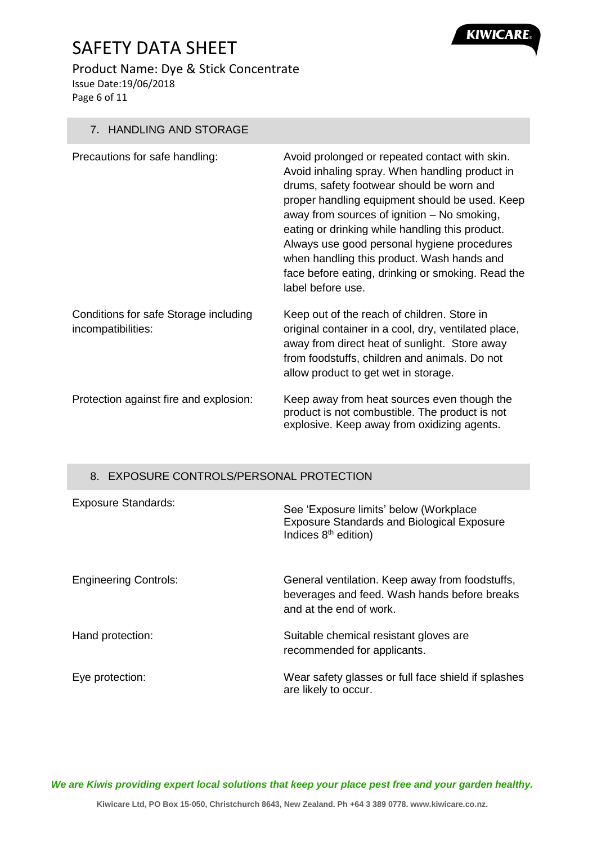Product Name: Dye & Stick Concentrate Issue Date:19/06/2018

Page 6 of 11

## 7. HANDLING AND STORAGE

| Precautions for safe handling:                              | Avoid prolonged or repeated contact with skin.<br>Avoid inhaling spray. When handling product in<br>drums, safety footwear should be worn and<br>proper handling equipment should be used. Keep<br>away from sources of ignition - No smoking,<br>eating or drinking while handling this product.<br>Always use good personal hygiene procedures<br>when handling this product. Wash hands and<br>face before eating, drinking or smoking. Read the<br>label before use. |
|-------------------------------------------------------------|--------------------------------------------------------------------------------------------------------------------------------------------------------------------------------------------------------------------------------------------------------------------------------------------------------------------------------------------------------------------------------------------------------------------------------------------------------------------------|
| Conditions for safe Storage including<br>incompatibilities: | Keep out of the reach of children. Store in<br>original container in a cool, dry, ventilated place,<br>away from direct heat of sunlight. Store away<br>from foodstuffs, children and animals. Do not<br>allow product to get wet in storage.                                                                                                                                                                                                                            |
| Protection against fire and explosion:                      | Keep away from heat sources even though the<br>product is not combustible. The product is not<br>explosive. Keep away from oxidizing agents.                                                                                                                                                                                                                                                                                                                             |

**KIWICARE** 

### 8. EXPOSURE CONTROLS/PERSONAL PROTECTION

| <b>Exposure Standards:</b>   | See 'Exposure limits' below (Workplace<br><b>Exposure Standards and Biological Exposure</b><br>Indices 8 <sup>th</sup> edition) |
|------------------------------|---------------------------------------------------------------------------------------------------------------------------------|
| <b>Engineering Controls:</b> | General ventilation. Keep away from foodstuffs,<br>beverages and feed. Wash hands before breaks<br>and at the end of work.      |
| Hand protection:             | Suitable chemical resistant gloves are<br>recommended for applicants.                                                           |
| Eye protection:              | Wear safety glasses or full face shield if splashes<br>are likely to occur.                                                     |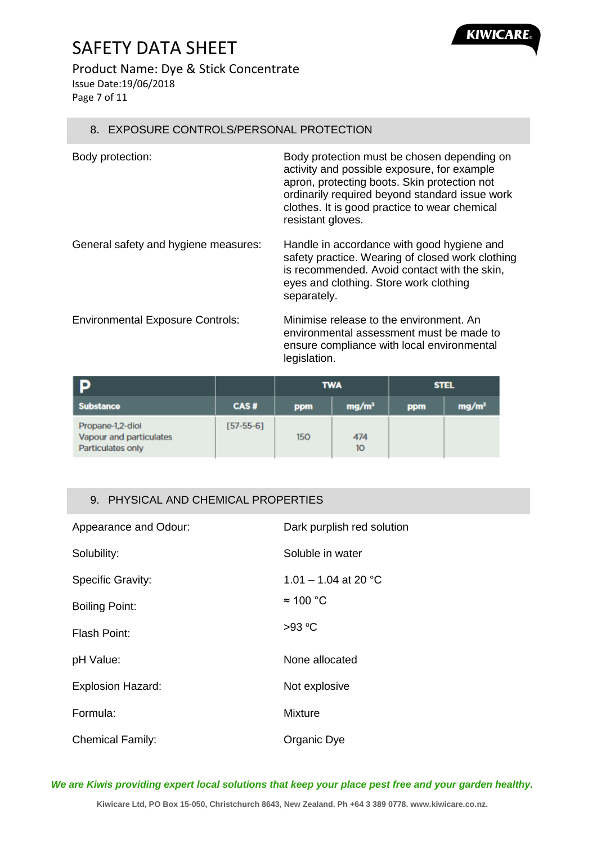## Product Name: Dye & Stick Concentrate

Issue Date:19/06/2018 Page 7 of 11

### 8. EXPOSURE CONTROLS/PERSONAL PROTECTION

| Body protection:                     | Body protection must be chosen depending on<br>activity and possible exposure, for example<br>apron, protecting boots. Skin protection not<br>ordinarily required beyond standard issue work<br>clothes. It is good practice to wear chemical<br>resistant gloves. |
|--------------------------------------|--------------------------------------------------------------------------------------------------------------------------------------------------------------------------------------------------------------------------------------------------------------------|
| General safety and hygiene measures: | Handle in accordance with good hygiene and<br>safety practice. Wearing of closed work clothing<br>is recommended. Avoid contact with the skin,<br>eyes and clothing. Store work clothing<br>separately.                                                            |
| Environmental Expenise Centrale:     | $Minimica$ release to the environment $\Lambda_{\mathcal{D}}$                                                                                                                                                                                                      |

Environmental Exposure Controls: Minimise release to the environment. An environmental assessment must be made to ensure compliance with local environmental legislation.

**KIWICARE** 

| <b>P</b>                                                         |             | <b>TWA</b> |                   | <b>STEL</b> |                   |
|------------------------------------------------------------------|-------------|------------|-------------------|-------------|-------------------|
| <b>Substance</b>                                                 | CAS#        | <b>ppm</b> | mg/m <sup>3</sup> | <b>ppm</b>  | mg/m <sup>3</sup> |
| Propane-1,2-diol<br>Vapour and particulates<br>Particulates only | $[57-55-6]$ | 150        | 474<br>10         |             |                   |

## 9. PHYSICAL AND CHEMICAL PROPERTIES

| Appearance and Odour:    | Dark purplish red solution |
|--------------------------|----------------------------|
| Solubility:              | Soluble in water           |
| Specific Gravity:        | 1.01 - 1.04 at 20 °C       |
| <b>Boiling Point:</b>    | $\approx$ 100 °C           |
| Flash Point:             | $>93$ °C                   |
| pH Value:                | None allocated             |
| <b>Explosion Hazard:</b> | Not explosive              |
| Formula:                 | Mixture                    |
| <b>Chemical Family:</b>  | Organic Dye                |

*We are Kiwis providing expert local solutions that keep your place pest free and your garden healthy.*

**Kiwicare Ltd, PO Box 15-050, Christchurch 8643, New Zealand. Ph +64 3 389 0778. www.kiwicare.co.nz.**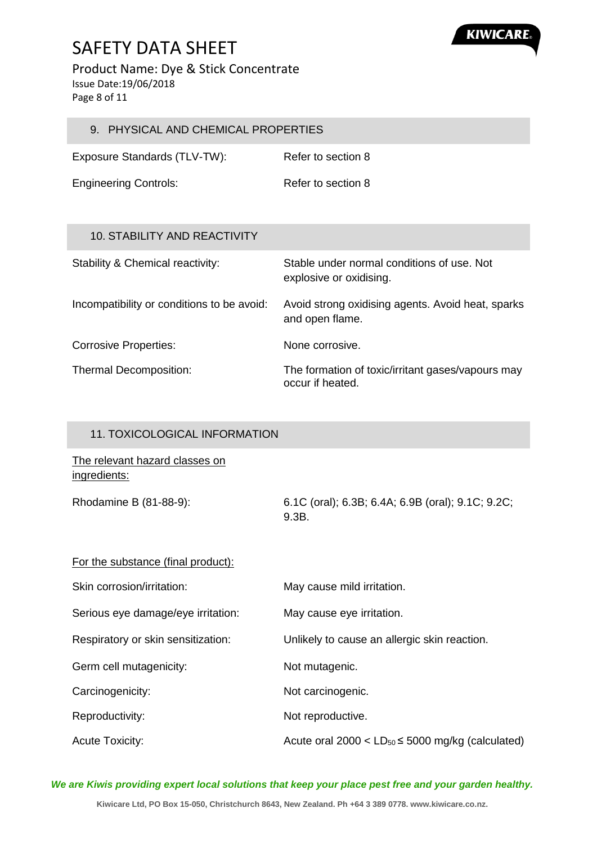Product Name: Dye & Stick Concentrate Issue Date:19/06/2018 Page 8 of 11

| 9. PHYSICAL AND CHEMICAL PROPERTIES            |                                                                       |
|------------------------------------------------|-----------------------------------------------------------------------|
| Exposure Standards (TLV-TW):                   | Refer to section 8                                                    |
| <b>Engineering Controls:</b>                   | Refer to section 8                                                    |
|                                                |                                                                       |
| <b>10. STABILITY AND REACTIVITY</b>            |                                                                       |
| Stability & Chemical reactivity:               | Stable under normal conditions of use. Not<br>explosive or oxidising. |
| Incompatibility or conditions to be avoid:     | Avoid strong oxidising agents. Avoid heat, sparks<br>and open flame.  |
| <b>Corrosive Properties:</b>                   | None corrosive.                                                       |
| Thermal Decomposition:                         | The formation of toxic/irritant gases/vapours may<br>occur if heated. |
|                                                |                                                                       |
| 11. TOXICOLOGICAL INFORMATION                  |                                                                       |
| The relevant hazard classes on<br>ingredients: |                                                                       |
| Rhodamine B (81-88-9):                         | 6.1C (oral); 6.3B; 6.4A; 6.9B (oral); 9.1C; 9.2C;<br>9.3B.            |
| For the substance (final product):             |                                                                       |
| Skin corrosion/irritation:                     | May cause mild irritation.                                            |
| Serious eye damage/eye irritation:             | May cause eye irritation.                                             |
| Respiratory or skin sensitization:             | Unlikely to cause an allergic skin reaction.                          |
| Germ cell mutagenicity:                        | Not mutagenic.                                                        |
| Carcinogenicity:                               | Not carcinogenic.                                                     |

Acute Toxicity:  $\text{Acute Total } 2000 < \text{LD}_{50} \leq 5000 \text{ mg/kg}$  (calculated)

Reproductivity: Not reproductive.

*We are Kiwis providing expert local solutions that keep your place pest free and your garden healthy.*

**Kiwicare Ltd, PO Box 15-050, Christchurch 8643, New Zealand. Ph +64 3 389 0778. www.kiwicare.co.nz.**

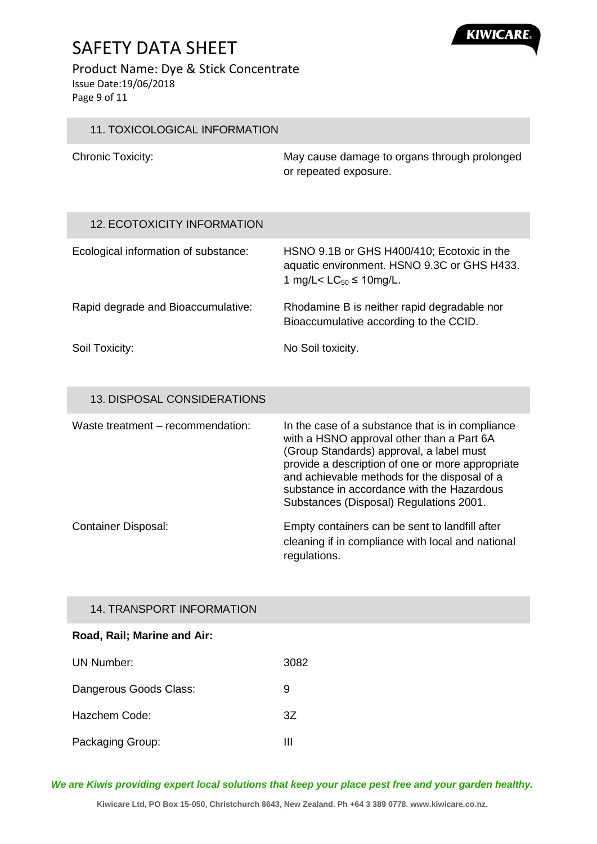

Product Name: Dye & Stick Concentrate Issue Date:19/06/2018 Page 9 of 11

### 11. TOXICOLOGICAL INFORMATION

| <b>Chronic Toxicity:</b> | May cause damage to organs through prolonged |
|--------------------------|----------------------------------------------|
|                          | or repeated exposure.                        |

## 12. ECOTOXICITY INFORMATION

| Ecological information of substance: | HSNO 9.1B or GHS H400/410; Ecotoxic in the<br>aquatic environment. HSNO 9.3C or GHS H433.<br>1 mg/L< $LC_{50} \le 10$ mg/L. |
|--------------------------------------|-----------------------------------------------------------------------------------------------------------------------------|
| Rapid degrade and Bioaccumulative:   | Rhodamine B is neither rapid degradable nor<br>Bioaccumulative according to the CCID.                                       |
| Soil Toxicity:                       | No Soil toxicity.                                                                                                           |

### 13. DISPOSAL CONSIDERATIONS

| Waste treatment - recommendation: | In the case of a substance that is in compliance<br>with a HSNO approval other than a Part 6A<br>(Group Standards) approval, a label must<br>provide a description of one or more appropriate<br>and achievable methods for the disposal of a<br>substance in accordance with the Hazardous<br>Substances (Disposal) Regulations 2001. |
|-----------------------------------|----------------------------------------------------------------------------------------------------------------------------------------------------------------------------------------------------------------------------------------------------------------------------------------------------------------------------------------|
| <b>Container Disposal:</b>        | Empty containers can be sent to landfill after<br>cleaning if in compliance with local and national<br>regulations.                                                                                                                                                                                                                    |

## 14. TRANSPORT INFORMATION

#### **Road, Rail; Marine and Air:**

| UN Number:             | 3082 |
|------------------------|------|
| Dangerous Goods Class: | 9    |
| Hazchem Code:          | 37   |
| Packaging Group:       | Ш    |

*We are Kiwis providing expert local solutions that keep your place pest free and your garden healthy.*

**Kiwicare Ltd, PO Box 15-050, Christchurch 8643, New Zealand. Ph +64 3 389 0778. www.kiwicare.co.nz.**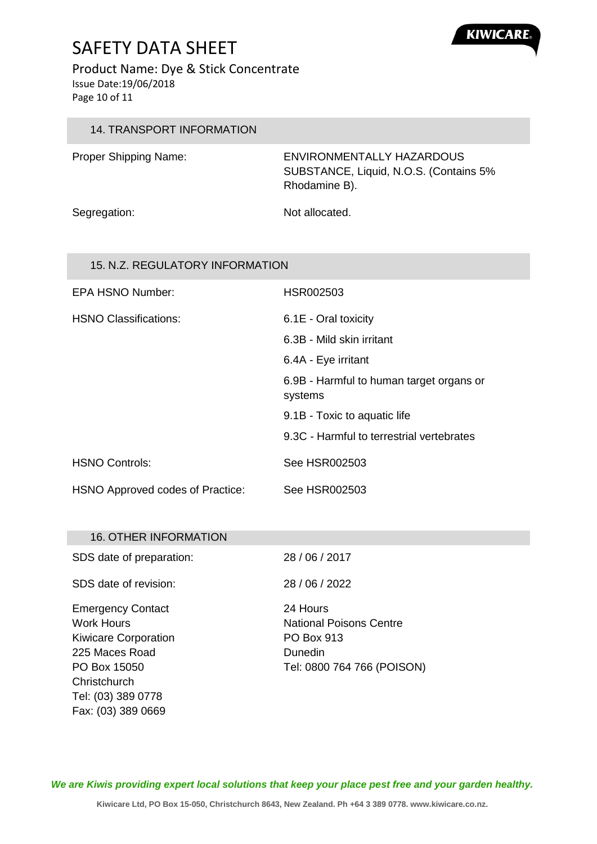

Product Name: Dye & Stick Concentrate Issue Date:19/06/2018 Page 10 of 11

## 14. TRANSPORT INFORMATION

Proper Shipping Name: ENVIRONMENTALLY HAZARDOUS SUBSTANCE, Liquid, N.O.S. (Contains 5% Rhodamine B).

Segregation: Not allocated.

### 15. N.Z. REGULATORY INFORMATION

| <b>EPA HSNO Number:</b>          | HSR002503                                           |
|----------------------------------|-----------------------------------------------------|
| <b>HSNO Classifications:</b>     | 6.1E - Oral toxicity                                |
|                                  | 6.3B - Mild skin irritant                           |
|                                  | 6.4A - Eye irritant                                 |
|                                  | 6.9B - Harmful to human target organs or<br>systems |
|                                  | 9.1B - Toxic to aquatic life                        |
|                                  | 9.3C - Harmful to terrestrial vertebrates           |
| <b>HSNO Controls:</b>            | See HSR002503                                       |
| HSNO Approved codes of Practice: | See HSR002503                                       |

#### 16. OTHER INFORMATION

Tel: (03) 389 0778 Fax: (03) 389 0669

| SDS date of preparation:    | 28/06/2017                     |
|-----------------------------|--------------------------------|
| SDS date of revision:       | 28 / 06 / 2022                 |
| <b>Emergency Contact</b>    | 24 Hours                       |
| <b>Work Hours</b>           | <b>National Poisons Centre</b> |
| <b>Kiwicare Corporation</b> | <b>PO Box 913</b>              |
| 225 Maces Road              | Dunedin                        |
| PO Box 15050                | Tel: 0800 764 766 (POISON)     |
| Christchurch                |                                |

*We are Kiwis providing expert local solutions that keep your place pest free and your garden healthy.*

**Kiwicare Ltd, PO Box 15-050, Christchurch 8643, New Zealand. Ph +64 3 389 0778. www.kiwicare.co.nz.**